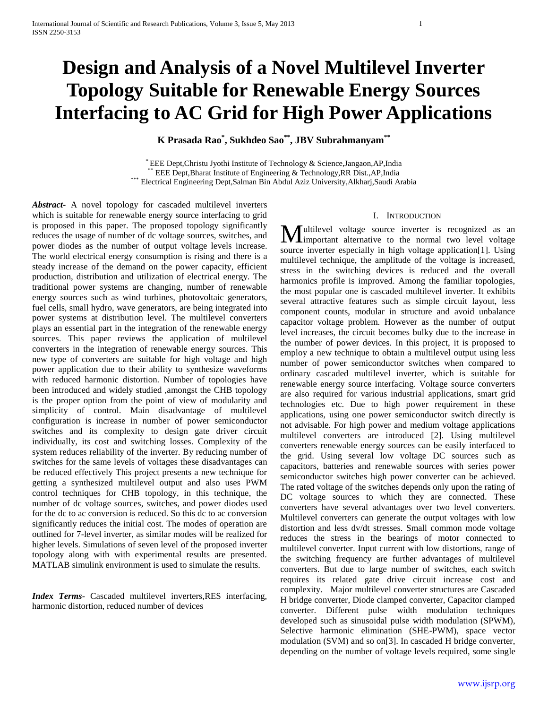# **Design and Analysis of a Novel Multilevel Inverter Topology Suitable for Renewable Energy Sources Interfacing to AC Grid for High Power Applications**

**K Prasada Rao\* , Sukhdeo Sao\*\* , JBV Subrahmanyam\*\***

\* EEE Dept,Christu Jyothi Institute of Technology & Science,Jangaon,AP,India \*\* EEE Dept, Bharat Institute of Engineering & Technology, RR Dist., AP, India \*\*\* Electrical Engineering Dept,Salman Bin Abdul Aziz University,Alkharj,Saudi Arabia

*Abstract***-** A novel topology for cascaded multilevel inverters which is suitable for renewable energy source interfacing to grid is proposed in this paper. The proposed topology significantly reduces the usage of number of dc voltage sources, switches, and power diodes as the number of output voltage levels increase. The world electrical energy consumption is rising and there is a steady increase of the demand on the power capacity, efficient production, distribution and utilization of electrical energy. The traditional power systems are changing, number of renewable energy sources such as wind turbines, photovoltaic generators, fuel cells, small hydro, wave generators, are being integrated into power systems at distribution level. The multilevel converters plays an essential part in the integration of the renewable energy sources. This paper reviews the application of multilevel converters in the integration of renewable energy sources. This new type of converters are suitable for high voltage and high power application due to their ability to synthesize waveforms with reduced harmonic distortion. Number of topologies have been introduced and widely studied ,amongst the CHB topology is the proper option from the point of view of modularity and simplicity of control. Main disadvantage of multilevel configuration is increase in number of power semiconductor switches and its complexity to design gate driver circuit individually, its cost and switching losses. Complexity of the system reduces reliability of the inverter. By reducing number of switches for the same levels of voltages these disadvantages can be reduced effectively This project presents a new technique for getting a synthesized multilevel output and also uses PWM control techniques for CHB topology, in this technique, the number of dc voltage sources, switches, and power diodes used for the dc to ac conversion is reduced. So this dc to ac conversion significantly reduces the initial cost. The modes of operation are outlined for 7-level inverter, as similar modes will be realized for higher levels. Simulations of seven level of the proposed inverter topology along with with experimental results are presented. MATLAB simulink environment is used to simulate the results.

*Index Terms*- Cascaded multilevel inverters,RES interfacing, harmonic distortion, reduced number of devices

## I. INTRODUCTION

ultilevel voltage source inverter is recognized as an **M**ultilevel voltage source inverter is recognized as an important alternative to the normal two level voltage source inverter especially in high voltage application[1]. Using multilevel technique, the amplitude of the voltage is increased, stress in the switching devices is reduced and the overall harmonics profile is improved. Among the familiar topologies, the most popular one is cascaded multilevel inverter. It exhibits several attractive features such as simple circuit layout, less component counts, modular in structure and avoid unbalance capacitor voltage problem. However as the number of output level increases, the circuit becomes bulky due to the increase in the number of power devices. In this project, it is proposed to employ a new technique to obtain a multilevel output using less number of power semiconductor switches when compared to ordinary cascaded multilevel inverter, which is suitable for renewable energy source interfacing. Voltage source converters are also required for various industrial applications, smart grid technologies etc. Due to high power requirement in these applications, using one power semiconductor switch directly is not advisable. For high power and medium voltage applications multilevel converters are introduced [2]. Using multilevel converters renewable energy sources can be easily interfaced to the grid. Using several low voltage DC sources such as capacitors, batteries and renewable sources with series power semiconductor switches high power converter can be achieved. The rated voltage of the switches depends only upon the rating of DC voltage sources to which they are connected. These converters have several advantages over two level converters. Multilevel converters can generate the output voltages with low distortion and less dv/dt stresses. Small common mode voltage reduces the stress in the bearings of motor connected to multilevel converter. Input current with low distortions, range of the switching frequency are further advantages of multilevel converters. But due to large number of switches, each switch requires its related gate drive circuit increase cost and complexity. Major multilevel converter structures are Cascaded H bridge converter, Diode clamped converter, Capacitor clamped converter. Different pulse width modulation techniques developed such as sinusoidal pulse width modulation (SPWM), Selective harmonic elimination (SHE-PWM), space vector modulation (SVM) and so on[3]. In cascaded H bridge converter, depending on the number of voltage levels required, some single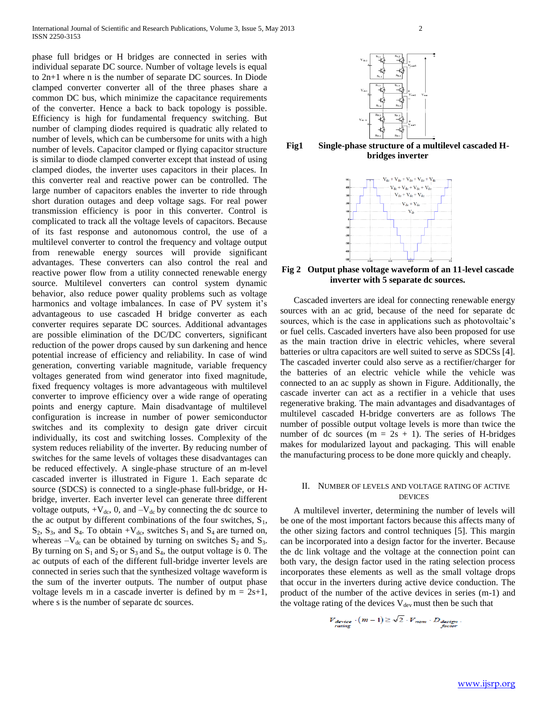phase full bridges or H bridges are connected in series with individual separate DC source. Number of voltage levels is equal to 2n+1 where n is the number of separate DC sources. In Diode clamped converter converter all of the three phases share a common DC bus, which minimize the capacitance requirements of the converter. Hence a back to back topology is possible. Efficiency is high for fundamental frequency switching. But number of clamping diodes required is quadratic ally related to number of levels, which can be cumbersome for units with a high number of levels. Capacitor clamped or flying capacitor structure is similar to diode clamped converter except that instead of using clamped diodes, the inverter uses capacitors in their places. In this converter real and reactive power can be controlled. The large number of capacitors enables the inverter to ride through short duration outages and deep voltage sags. For real power transmission efficiency is poor in this converter. Control is complicated to track all the voltage levels of capacitors. Because of its fast response and autonomous control, the use of a multilevel converter to control the frequency and voltage output from renewable energy sources will provide significant advantages. These converters can also control the real and reactive power flow from a utility connected renewable energy source. Multilevel converters can control system dynamic behavior, also reduce power quality problems such as voltage harmonics and voltage imbalances. In case of PV system it's advantageous to use cascaded H bridge converter as each converter requires separate DC sources. Additional advantages are possible elimination of the DC/DC converters, significant reduction of the power drops caused by sun darkening and hence potential increase of efficiency and reliability. In case of wind generation, converting variable magnitude, variable frequency voltages generated from wind generator into fixed magnitude, fixed frequency voltages is more advantageous with multilevel converter to improve efficiency over a wide range of operating points and energy capture. Main disadvantage of multilevel configuration is increase in number of power semiconductor switches and its complexity to design gate driver circuit individually, its cost and switching losses. Complexity of the system reduces reliability of the inverter. By reducing number of switches for the same levels of voltages these disadvantages can be reduced effectively. A single-phase structure of an m-level cascaded inverter is illustrated in Figure 1. Each separate dc source (SDCS) is connected to a single-phase full-bridge, or Hbridge, inverter. Each inverter level can generate three different voltage outputs,  $+V_{dc}$ , 0, and  $-V_{dc}$  by connecting the dc source to the ac output by different combinations of the four switches,  $S_1$ ,  $S_2$ ,  $S_3$ , and  $S_4$ . To obtain  $+V_{dc}$ , switches  $S_1$  and  $S_4$  are turned on, whereas  $-V_{dc}$  can be obtained by turning on switches  $S_2$  and  $S_3$ . By turning on  $S_1$  and  $S_2$  or  $S_3$  and  $S_4$ , the output voltage is 0. The ac outputs of each of the different full-bridge inverter levels are connected in series such that the synthesized voltage waveform is the sum of the inverter outputs. The number of output phase voltage levels m in a cascade inverter is defined by  $m = 2s+1$ , where s is the number of separate dc sources.



**Fig1 Single-phase structure of a multilevel cascaded Hbridges inverter**



**Fig 2 Output phase voltage waveform of an 11-level cascade inverter with 5 separate dc sources.**

 Cascaded inverters are ideal for connecting renewable energy sources with an ac grid, because of the need for separate dc sources, which is the case in applications such as photovoltaic's or fuel cells. Cascaded inverters have also been proposed for use as the main traction drive in electric vehicles, where several batteries or ultra capacitors are well suited to serve as SDCSs [4]. The cascaded inverter could also serve as a rectifier/charger for the batteries of an electric vehicle while the vehicle was connected to an ac supply as shown in Figure. Additionally, the cascade inverter can act as a rectifier in a vehicle that uses regenerative braking. The main advantages and disadvantages of multilevel cascaded H-bridge converters are as follows The number of possible output voltage levels is more than twice the number of dc sources ( $m = 2s + 1$ ). The series of H-bridges makes for modularized layout and packaging. This will enable the manufacturing process to be done more quickly and cheaply.

## II. NUMBER OF LEVELS AND VOLTAGE RATING OF ACTIVE DEVICES

 A multilevel inverter, determining the number of levels will be one of the most important factors because this affects many of the other sizing factors and control techniques [5]. This margin can be incorporated into a design factor for the inverter. Because the dc link voltage and the voltage at the connection point can both vary, the design factor used in the rating selection process incorporates these elements as well as the small voltage drops that occur in the inverters during active device conduction. The product of the number of the active devices in series (m-1) and the voltage rating of the devices  $V_{dev}$  must then be such that

$$
V_{\text{device}} \cdot (m-1) \ge \sqrt{2} \cdot V_{\text{nom}} \cdot D_{\text{decision}} \cdot V_{\text{factor}}
$$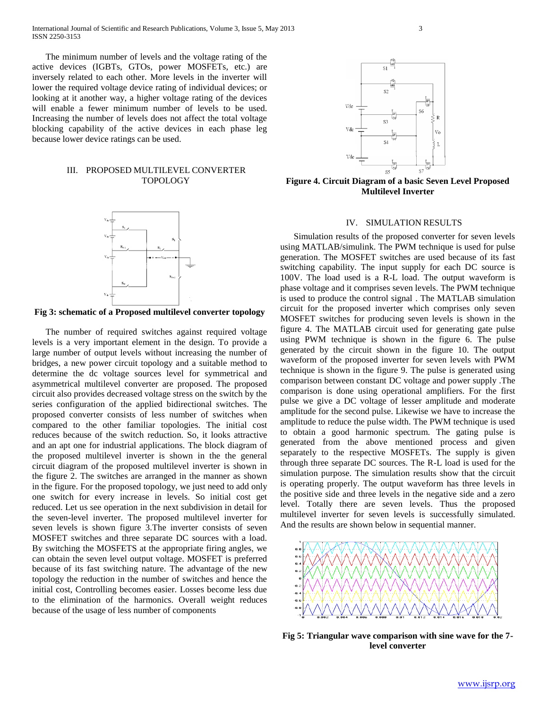International Journal of Scientific and Research Publications, Volume 3, Issue 5, May 2013 3 ISSN 2250-3153

 The minimum number of levels and the voltage rating of the active devices (IGBTs, GTOs, power MOSFETs, etc.) are inversely related to each other. More levels in the inverter will lower the required voltage device rating of individual devices; or looking at it another way, a higher voltage rating of the devices will enable a fewer minimum number of levels to be used. Increasing the number of levels does not affect the total voltage blocking capability of the active devices in each phase leg because lower device ratings can be used.

## III. PROPOSED MULTILEVEL CONVERTER TOPOLOGY



**Fig 3: schematic of a Proposed multilevel converter topology**

 The number of required switches against required voltage levels is a very important element in the design. To provide a large number of output levels without increasing the number of bridges, a new power circuit topology and a suitable method to determine the dc voltage sources level for symmetrical and asymmetrical multilevel converter are proposed. The proposed circuit also provides decreased voltage stress on the switch by the series configuration of the applied bidirectional switches. The proposed converter consists of less number of switches when compared to the other familiar topologies. The initial cost reduces because of the switch reduction. So, it looks attractive and an apt one for industrial applications. The block diagram of the proposed multilevel inverter is shown in the the general circuit diagram of the proposed multilevel inverter is shown in the figure 2. The switches are arranged in the manner as shown in the figure. For the proposed topology, we just need to add only one switch for every increase in levels. So initial cost get reduced. Let us see operation in the next subdivision in detail for the seven-level inverter. The proposed multilevel inverter for seven levels is shown figure 3.The inverter consists of seven MOSFET switches and three separate DC sources with a load. By switching the MOSFETS at the appropriate firing angles, we can obtain the seven level output voltage. MOSFET is preferred because of its fast switching nature. The advantage of the new topology the reduction in the number of switches and hence the initial cost, Controlling becomes easier. Losses become less due to the elimination of the harmonics. Overall weight reduces because of the usage of less number of components



**Figure 4. Circuit Diagram of a basic Seven Level Proposed Multilevel Inverter**

### IV. SIMULATION RESULTS

 Simulation results of the proposed converter for seven levels using MATLAB/simulink. The PWM technique is used for pulse generation. The MOSFET switches are used because of its fast switching capability. The input supply for each DC source is 100V. The load used is a R-L load. The output waveform is phase voltage and it comprises seven levels. The PWM technique is used to produce the control signal . The MATLAB simulation circuit for the proposed inverter which comprises only seven MOSFET switches for producing seven levels is shown in the figure 4. The MATLAB circuit used for generating gate pulse using PWM technique is shown in the figure 6. The pulse generated by the circuit shown in the figure 10. The output waveform of the proposed inverter for seven levels with PWM technique is shown in the figure 9. The pulse is generated using comparison between constant DC voltage and power supply .The comparison is done using operational amplifiers. For the first pulse we give a DC voltage of lesser amplitude and moderate amplitude for the second pulse. Likewise we have to increase the amplitude to reduce the pulse width. The PWM technique is used to obtain a good harmonic spectrum. The gating pulse is generated from the above mentioned process and given separately to the respective MOSFETs. The supply is given through three separate DC sources. The R-L load is used for the simulation purpose. The simulation results show that the circuit is operating properly. The output waveform has three levels in the positive side and three levels in the negative side and a zero level. Totally there are seven levels. Thus the proposed multilevel inverter for seven levels is successfully simulated. And the results are shown below in sequential manner.



**Fig 5: Triangular wave comparison with sine wave for the 7 level converter**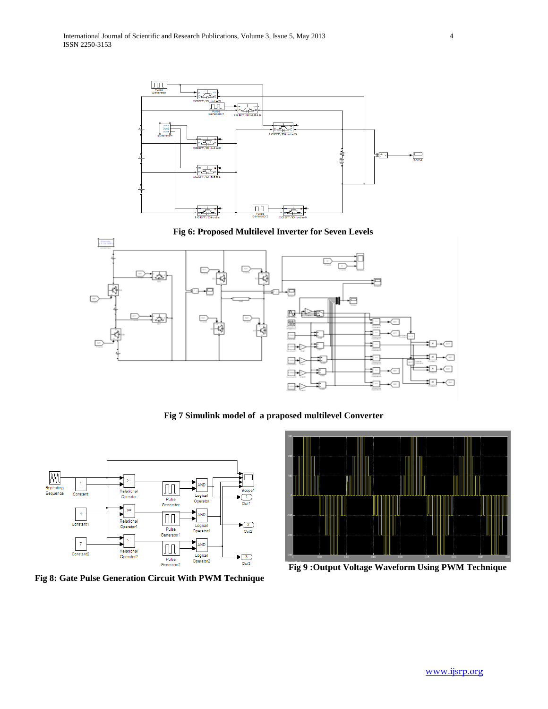





**Fig 7 Simulink model of a praposed multilevel Converter**



**Fig 8: Gate Pulse Generation Circuit With PWM Technique**



**Fig 9 :Output Voltage Waveform Using PWM Technique**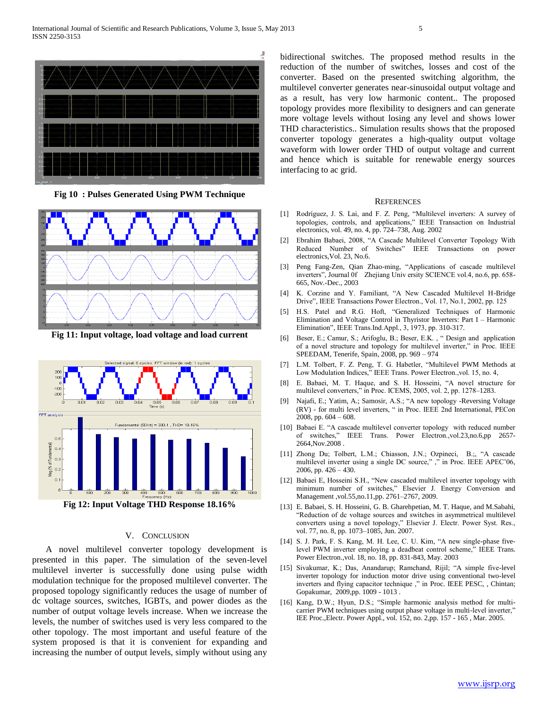

**Fig 10 : Pulses Generated Using PWM Technique**



**Fig 11: Input voltage, load voltage and load current**



**Fig 12: Input Voltage THD Response 18.16%**

### V. CONCLUSION

 A novel multilevel converter topology development is presented in this paper. The simulation of the seven-level multilevel inverter is successfully done using pulse width modulation technique for the proposed multilevel converter. The proposed topology significantly reduces the usage of number of dc voltage sources, switches, IGBTs, and power diodes as the number of output voltage levels increase. When we increase the levels, the number of switches used is very less compared to the other topology. The most important and useful feature of the system proposed is that it is convenient for expanding and increasing the number of output levels, simply without using any

bidirectional switches. The proposed method results in the reduction of the number of switches, losses and cost of the converter. Based on the presented switching algorithm, the multilevel converter generates near-sinusoidal output voltage and as a result, has very low harmonic content.. The proposed topology provides more flexibility to designers and can generate more voltage levels without losing any level and shows lower THD characteristics.. Simulation results shows that the proposed converter topology generates a high-quality output voltage waveform with lower order THD of output voltage and current and hence which is suitable for renewable energy sources interfacing to ac grid.

#### **REFERENCES**

- [1] Rodríguez, J. S. Lai, and F. Z. Peng, "Multilevel inverters: A survey of topologies, controls, and applications," IEEE Transaction on Industrial electronics, vol. 49, no. 4, pp. 724–738, Aug. 2002
- [2] Ebrahim Babaei, 2008, "A Cascade Multilevel Converter Topology With Reduced Number of Switches" IEEE Transactions on power electronics,Vol. 23, No.6.
- [3] Peng Fang-Zen, Qian Zhao-ming, "Applications of cascade multilevel inverters", Journal 0f Zhejiang Univ ersity SCIENCE vol.4, no.6, pp. 658- 665, Nov.-Dec., 2003
- [4] K. Corzine and Y. Familiant, "A New Cascaded Multilevel H-Bridge Drive", IEEE Transactions Power Electron., Vol. 17, No.1, 2002, pp. 125
- [5] H.S. Patel and R.G. Hoft, "Generalized Techniques of Harmonic Elimination and Voltage Control in Thyristor Inverters: Part I – Harmonic Elimination", IEEE Trans.Ind.Appl., 3, 1973, pp. 310-317.
- [6] Beser, E.; Camur, S.; Arifoglu, B.; Beser, E.K. , " Design and application of a novel structure and topology for multilevel inverter," in Proc. IEEE SPEEDAM, Tenerife, Spain, 2008, pp. 969 – 974
- [7] L.M. Tolbert, F. Z. Peng, T. G. Habetler, "Multilevel PWM Methods at Low Modulation Indices," IEEE Trans. Power Electron.,vol. 15, no. 4,
- [8] E. Babaei, M. T. Haque, and S. H. Hosseini, "A novel structure for multilevel converters," in Proc. ICEMS, 2005, vol. 2, pp. 1278–1283.
- [9] Najafi, E.; Yatim, A.; Samosir, A.S.; "A new topology -Reversing Voltage (RV) - for multi level inverters, " in Proc. IEEE 2nd International, PECon 2008, pp. 604 – 608.
- [10] Babaei E. "A cascade multilevel converter topology with reduced number of switches," IEEE Trans. Power Electron.,vol.23,no.6,pp 2657- 2664,Nov.2008 .
- [11] Zhong Du; Tolbert, L.M.; Chiasson, J.N.; Ozpineci, B.;, "A cascade multilevel inverter using a single DC source," ," in Proc. IEEE APEC'06, 2006, pp.  $426 - 430$ .
- [12] Babaei E, Hosseini S.H., "New cascaded multilevel inverter topology with minimum number of switches," Elsevier J. Energy Conversion and Management ,vol.55,no.11,pp. 2761–2767, 2009.
- [13] E. Babaei, S. H. Hosseini, G. B. Gharehpetian, M. T. Haque, and M.Sabahi, "Reduction of dc voltage sources and switches in asymmetrical multilevel converters using a novel topology," Elsevier J. Electr. Power Syst. Res., vol. 77, no. 8, pp. 1073–1085, Jun. 2007.
- [14] S. J. Park, F. S. Kang, M. H. Lee, C. U. Kim, "A new single-phase fivelevel PWM inverter employing a deadbeat control scheme," IEEE Trans. Power Electron.,vol. 18, no. 18, pp. 831-843, May. 2003
- [15] Sivakumar, K.; Das, Anandarup; Ramchand, Rijil; "A simple five-level inverter topology for induction motor drive using conventional two-level inverters and flying capacitor technique ," in Proc. IEEE PESC, , Chintan; Gopakumar, 2009,pp. 1009 - 1013 .
- [16] Kang, D.W.; Hyun, D.S.; "Simple harmonic analysis method for multicarrier PWM techniques using output phase voltage in multi-level inverter,' IEE Proc.,Electr. Power Appl., vol. 152, no. 2,pp. 157 - 165 , Mar. 2005.